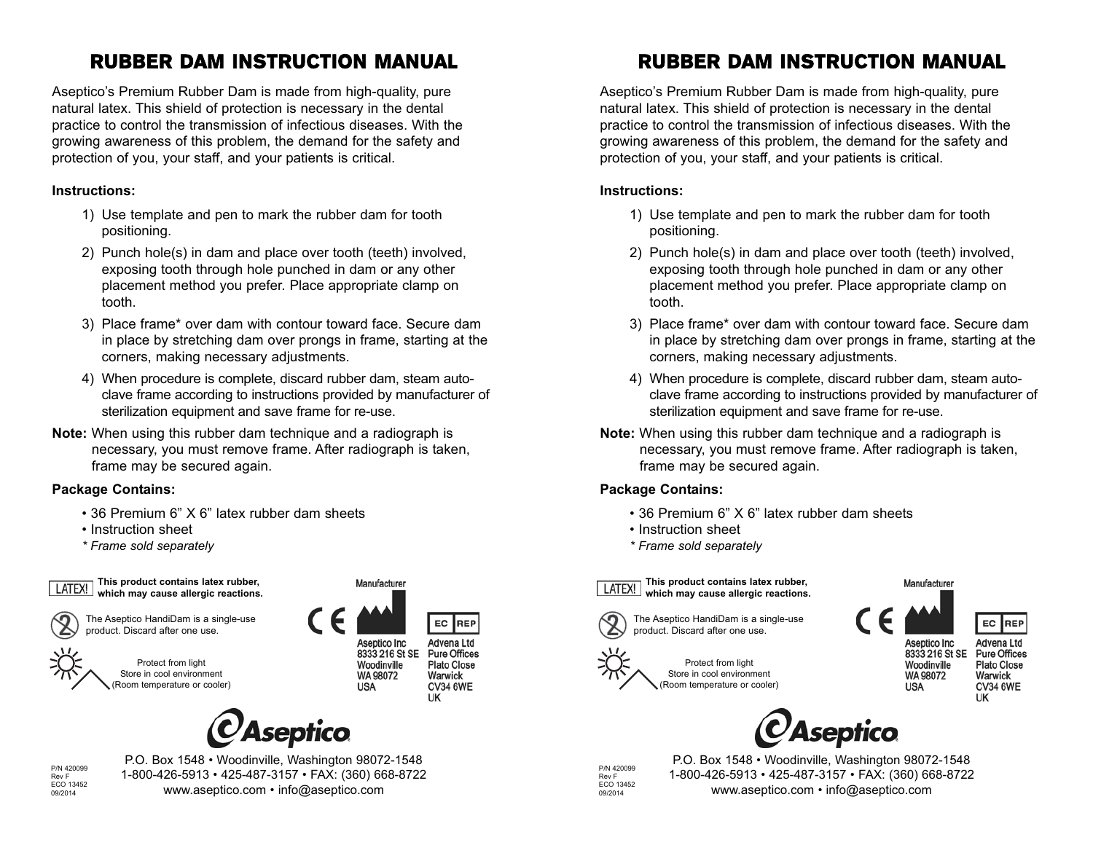## RUBBER DAM INSTRUCTION MANUAL

Aseptico's Premium Rubber Dam is made from high-quality, pure natural latex. This shield of protection is necessary in the dental practice to control the transmission of infectious diseases. With the growing awareness of this problem, the demand for the safety and protection of you, your staff, and your patients is critical.

## **Instructions:**

- 1) Use template and pen to mark the rubber dam for tooth positioning.
- 2) Punch hole(s) in dam and place over tooth (teeth) involved, exposing tooth through hole punched in dam or any other placement method you prefer. Place appropriate clamp on tooth.
- 3) Place frame\* over dam with contour toward face. Secure dam in place by stretching dam over prongs in frame, starting at the corners, making necessary adjustments.
- 4) When procedure is complete, discard rubber dam, steam autoclave frame according to instructions provided by manufacturer of sterilization equipment and save frame for re-use.
- **Note:** When using this rubber dam technique and a radiograph is necessary, you must remove frame. After radiograph is taken, frame may be secured again.

## **Package Contains:**

- 36 Premium 6" X 6" latex rubber dam sheets
- Instruction sheet
- *\* Frame sold separately*





The Aseptico HandiDam is a single-use

product. Discard after one use.

Protect from light Store in cool environment (Room temperature or cooler) Manufacturer



EC **REP** 

Aseptico Inc 8333 216 St SE Woodinville WA 98072 **USA** 



Warwick **CV34 6WE** UK



P/N 420099 Rev F ECO 13452 09/2014

P.O. Box 1548 • Woodinville, Washington 98072-1548 1-800-426-5913 • 425-487-3157 • FAX: (360) 668-8722 www.aseptico.com • info@aseptico.com